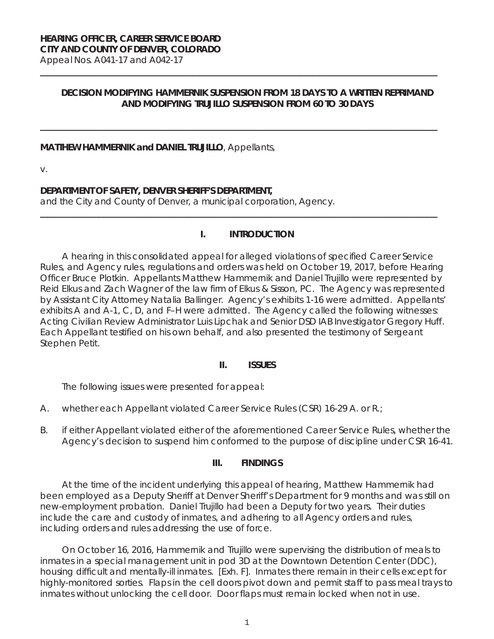# **HEARING OFFICER, CAREER SERVICE BOARD CITY AND COUNTY OF DENVER, COLORADO**

Appeal Nos. A041-17 and A042-17 **\_\_\_\_\_\_\_\_\_\_\_\_\_\_\_\_\_\_\_\_\_\_\_\_\_\_\_\_\_\_\_\_\_\_\_\_\_\_\_\_\_\_\_\_\_\_\_\_\_\_\_\_\_\_\_\_\_\_\_\_\_\_\_\_\_\_\_\_\_\_\_\_\_\_\_\_\_\_\_\_\_\_\_\_\_\_\_\_\_\_\_\_**

## **DECISION MODIFYING HAMMERNIK SUSPENSION FROM 18 DAYS TO A WRITTEN REPRIMAND AND MODIFYING TRUJILLO SUSPENSION FROM 60 TO 30 DAYS**

**\_\_\_\_\_\_\_\_\_\_\_\_\_\_\_\_\_\_\_\_\_\_\_\_\_\_\_\_\_\_\_\_\_\_\_\_\_\_\_\_\_\_\_\_\_\_\_\_\_\_\_\_\_\_\_\_\_\_\_\_\_\_\_\_\_\_\_\_\_\_\_\_\_\_\_\_\_\_\_\_\_\_\_\_\_\_\_\_\_\_\_\_**

#### **MATTHEW HAMMERNIK and DANIEL TRUJILLO**, Appellants,

v.

# **DEPARTMENT OF SAFETY, DENVER SHERIFF'S DEPARTMENT,**

and the City and County of Denver, a municipal corporation, Agency.

# **I. INTRODUCTION**

**\_\_\_\_\_\_\_\_\_\_\_\_\_\_\_\_\_\_\_\_\_\_\_\_\_\_\_\_\_\_\_\_\_\_\_\_\_\_\_\_\_\_\_\_\_\_\_\_\_\_\_\_\_\_\_\_\_\_\_\_\_\_\_\_\_\_\_\_\_\_\_\_\_\_\_\_\_\_\_\_\_\_\_\_\_\_\_\_\_\_\_\_** 

A hearing in this consolidated appeal for alleged violations of specified Career Service Rules, and Agency rules, regulations and orders was held on October 19, 2017, before Hearing Officer Bruce Plotkin. Appellants Matthew Hammernik and Daniel Trujillo were represented by Reid Elkus and Zach Wagner of the law firm of Elkus & Sisson, PC. The Agency was represented by Assistant City Attorney Natalia Ballinger. Agency's exhibits 1-16 were admitted. Appellants' exhibits A and A-1, C, D, and F–H were admitted. The Agency called the following witnesses: Acting Civilian Review Administrator Luis Lipchak and Senior DSD IAB Investigator Gregory Huff. Each Appellant testified on his own behalf, and also presented the testimony of Sergeant Stephen Petit.

### **II. ISSUES**

The following issues were presented for appeal:

- A. whether each Appellant violated Career Service Rules (CSR) 16-29 A. or R.;
- B. if either Appellant violated either of the aforementioned Career Service Rules, whether the Agency's decision to suspend him conformed to the purpose of discipline under CSR 16-41.

### **III. FINDINGS**

At the time of the incident underlying this appeal of hearing, Matthew Hammernik had been employed as a Deputy Sheriff at Denver Sheriff's Department for 9 months and was still on new-employment probation. Daniel Trujillo had been a Deputy for two years. Their duties include the care and custody of inmates, and adhering to all Agency orders and rules, including orders and rules addressing the use of force.

On October 16, 2016, Hammernik and Trujillo were supervising the distribution of meals to inmates in a special management unit in pod 3D at the Downtown Detention Center (DDC), housing difficult and mentally-ill inmates. [Exh. F]. Inmates there remain in their cells except for highly-monitored sorties. Flaps in the cell doors pivot down and permit staff to pass meal trays to inmates without unlocking the cell door. Door flaps must remain locked when not in use.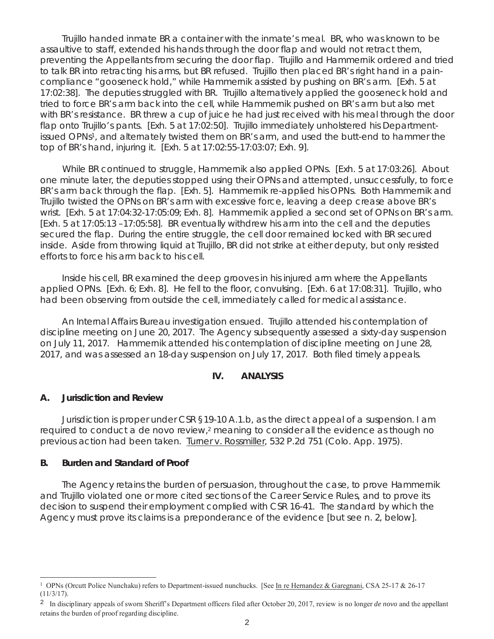Trujillo handed inmate BR a container with the inmate's meal. BR, who was known to be assaultive to staff, extended his hands through the door flap and would not retract them, preventing the Appellants from securing the door flap. Trujillo and Hammernik ordered and tried to talk BR into retracting his arms, but BR refused. Trujillo then placed BR's right hand in a paincompliance "gooseneck hold," while Hammernik assisted by pushing on BR's arm. [Exh. 5 at 17:02:38]. The deputies struggled with BR. Trujillo alternatively applied the gooseneck hold and tried to force BR's arm back into the cell, while Hammernik pushed on BR's arm but also met with BR's resistance. BR threw a cup of juice he had just received with his meal through the door flap onto Trujillo's pants. [Exh. 5 at 17:02:50]. Trujillo immediately unholstered his Departmentissued OPNs1, and alternately twisted them on BR's arm, and used the butt-end to hammer the top of BR's hand, injuring it. [Exh. 5 at 17:02:55-17:03:07; Exh. 9].

 While BR continued to struggle, Hammernik also applied OPNs. [Exh. 5 at 17:03:26]. About one minute later, the deputies stopped using their OPNs and attempted, unsuccessfully, to force BR's arm back through the flap. [Exh. 5]. Hammernik re-applied his OPNs. Both Hammernik and Trujillo twisted the OPNs on BR's arm with excessive force, leaving a deep crease above BR's wrist. [Exh. 5 at 17:04:32-17:05:09; Exh. 8]. Hammernik applied a second set of OPNs on BR's arm. [Exh. 5 at 17:05:13 –17:05:58]. BR eventually withdrew his arm into the cell and the deputies secured the flap. During the entire struggle, the cell door remained locked with BR secured inside. Aside from throwing liquid at Trujillo, BR did not strike at either deputy, but only resisted efforts to force his arm back to his cell.

Inside his cell, BR examined the deep grooves in his injured arm where the Appellants applied OPNs. [Exh. 6; Exh. 8]. He fell to the floor, convulsing. [Exh. 6 at 17:08:31]. Trujillo, who had been observing from outside the cell, immediately called for medical assistance.

An Internal Affairs Bureau investigation ensued. Trujillo attended his contemplation of discipline meeting on June 20, 2017. The Agency subsequently assessed a sixty-day suspension on July 11, 2017. Hammernik attended his contemplation of discipline meeting on June 28, 2017, and was assessed an 18-day suspension on July 17, 2017. Both filed timely appeals.

### **IV. ANALYSIS**

#### **A. Jurisdiction and Review**

Jurisdiction is proper under CSR §19-10 A.1.b, as the direct appeal of a suspension. I am required to conduct a *de novo* review,<sup>2</sup> meaning to consider all the evidence as though no previous action had been taken. **Iurner v. Rossmiller**, 532 P.2d 751 (Colo. App. 1975).

#### **B. Burden and Standard of Proof**

i<br>T

The Agency retains the burden of persuasion, throughout the case, to prove Hammernik and Trujillo violated one or more cited sections of the Career Service Rules, and to prove its decision to suspend their employment complied with CSR 16-41. The standard by which the Agency must prove its claims is a preponderance of the evidence [but *see* n. 2, below].

<sup>&</sup>lt;sup>1</sup> OPNs (Orcutt Police Nunchaku) refers to Department-issued nunchucks. [See In re Hernandez & Garegnani, CSA 25-17 & 26-17 (11/3/17).

<sup>2</sup> In disciplinary appeals of sworn Sheriff's Department officers filed after October 20, 2017, review is no longer *de novo* and the appellant retains the burden of proof regarding discipline.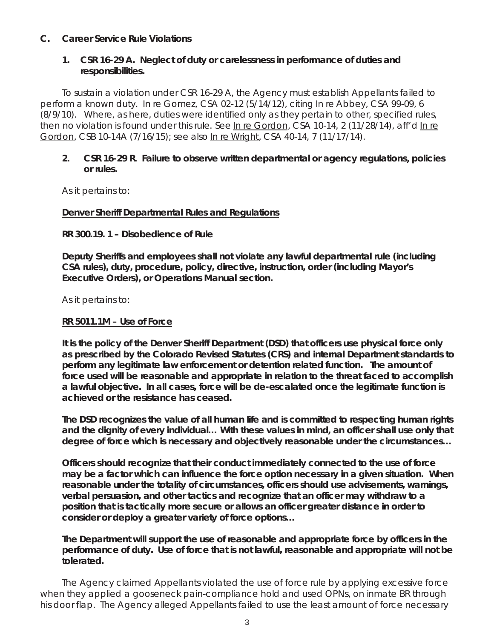## **C. Career Service Rule Violations**

## **1. CSR 16-29 A. Neglect of duty or carelessness in performance of duties and responsibilities.**

To sustain a violation under CSR 16-29 A, the Agency must establish Appellants failed to perform a known duty. In re Gomez, CSA 02-12 (5/14/12), *citing* In re Abbey, CSA 99-09, 6 (8/9/10). Where, as here, duties were identified only as they pertain to other, specified rules, then no violation is found under this rule. *See* In re Gordon, CSA 10-14, 2 (11/28/14), *aff'd* In re Gordon, CSB 10-14A (7/16/15); *see also* In re Wright, CSA 40-14, 7 (11/17/14).

### **2. CSR 16-29 R. Failure to observe written departmental or agency regulations, policies or rules.**

As it pertains to:

#### **Denver Sheriff Departmental Rules and Regulations**

### **RR 300.19. 1 – Disobedience of Rule**

**Deputy Sheriffs and employees shall not violate any lawful departmental rule (including CSA rules), duty, procedure, policy, directive, instruction, order (including Mayor's Executive Orders), or Operations Manual section.** 

As it pertains to:

#### **RR 5011.1M – Use of Force**

**It is the policy of the Denver Sheriff Department (DSD) that officers use physical force only as prescribed by the Colorado Revised Statutes (CRS) and internal Department standards to perform any legitimate law enforcement or detention related function. The amount of force used will be reasonable and appropriate in relation to the threat faced to accomplish a lawful objective. In all cases, force will be de-escalated once the legitimate function is achieved or the resistance has ceased.** 

**The DSD recognizes the value of all human life and is committed to respecting human rights and the dignity of every individual… With these values in mind, an officer shall use only that degree of force which is necessary and objectively reasonable under the circumstances…** 

**Officers should recognize that their conduct immediately connected to the use of force may be a factor which can influence the force option necessary in a given situation. When reasonable under the totality of circumstances, officers should use advisements, warnings, verbal persuasion, and other tactics and recognize that an officer may withdraw to a position that is tactically more secure or allows an officer greater distance in order to consider or deploy a greater variety of force options…** 

**The Department will support the use of reasonable and appropriate force by officers in the performance of duty. Use of force that is not lawful, reasonable and appropriate will not be tolerated.** 

The Agency claimed Appellants violated the use of force rule by applying excessive force when they applied a gooseneck pain-compliance hold and used OPNs, on inmate BR through his door flap. The Agency alleged Appellants failed to use the least amount of force necessary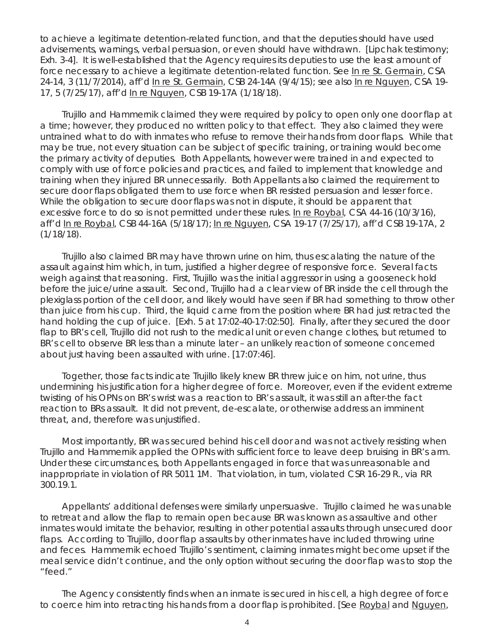to achieve a legitimate detention-related function, and that the deputies should have used advisements, warnings, verbal persuasion, or even should have withdrawn. [Lipchak testimony; Exh. 3-4]. It is well-established that the Agency requires its deputies to use the least amount of force necessary to achieve a legitimate detention-related function. *See* In re St. Germain, CSA 24-14, 3 (11/7/2014), *aff'd* In re St. Germain, CSB 24-14A (9/4/15); *see also* In re Nguyen, CSA 19- 17, 5 (7/25/17), *aff'd* In re Nguyen, CSB 19-17A (1/18/18).

Trujillo and Hammernik claimed they were required by policy to open only one door flap at a time; however, they produced no written policy to that effect. They also claimed they were untrained what to do with inmates who refuse to remove their hands from door flaps. While that may be true, not every situation can be subject of specific training, or training would become the primary activity of deputies. Both Appellants, however were trained in and expected to comply with use of force policies and practices, and failed to implement that knowledge and training when they injured BR unnecessarily. Both Appellants also claimed the requirement to secure door flaps obligated them to use force when BR resisted persuasion and lesser force. While the obligation to secure door flaps was not in dispute, it should be apparent that excessive force to do so is not permitted under these rules. In re Roybal*, CSA 44-16* (10/3/16)*, aff'd* In re Roybal*, CSB 44-16A* (5/18/17); In re Nguyen*, CSA 19-17 (7/25/17), aff'd* CSB 19-17A, 2 (1/18/18).

Trujillo also claimed BR may have thrown urine on him, thus escalating the nature of the assault against him which, in turn, justified a higher degree of responsive force. Several facts weigh against that reasoning. First, Trujillo was the initial aggressor in using a gooseneck hold before the juice/urine assault. Second, Trujillo had a clear view of BR inside the cell through the plexiglass portion of the cell door, and likely would have seen if BR had something to throw other than juice from his cup. Third, the liquid came from the position where BR had just retracted the hand holding the cup of juice. [Exh. 5 at 17:02-40-17:02:50]. Finally, after they secured the door flap to BR's cell, Trujillo did not rush to the medical unit or even change clothes, but returned to BR's cell to observe BR less than a minute later – an unlikely reaction of someone concerned about just having been assaulted with urine. [17:07:46].

Together, those facts indicate Trujillo likely knew BR threw juice on him, not urine, thus undermining his justification for a higher degree of force. Moreover, even if the evident extreme twisting of his OPNs on BR's wrist was a reaction to BR's assault, it was still an after-the fact reaction to BRs assault. It did not prevent, de-escalate, or otherwise address an imminent threat, and, therefore was unjustified.

Most importantly, BR was secured behind his cell door and was not actively resisting when Trujillo and Hammernik applied the OPNs with sufficient force to leave deep bruising in BR's arm. Under these circumstances, both Appellants engaged in force that was unreasonable and inappropriate in violation of RR 5011 1M. That violation, in turn, violated CSR 16-29 R., via RR 300.19.1.

Appellants' additional defenses were similarly unpersuasive. Trujillo claimed he was unable to retreat and allow the flap to remain open because BR was known as assaultive and other inmates would imitate the behavior, resulting in other potential assaults through unsecured door flaps. According to Trujillo, door flap assaults by other inmates have included throwing urine and feces. Hammernik echoed Trujillo's sentiment, claiming inmates might become upset if the meal service didn't continue, and the only option without securing the door flap was to stop the "feed."

The Agency consistently finds when an inmate is secured in his cell, a high degree of force to coerce him into retracting his hands from a door flap is prohibited. [*See* Roybal and Nguyen,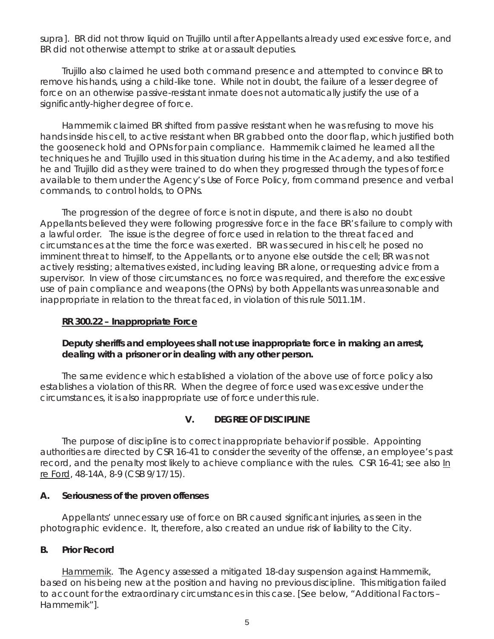*supra*]. BR did not throw liquid on Trujillo until after Appellants already used excessive force, and BR did not otherwise attempt to strike at or assault deputies.

Trujillo also claimed he used both command presence and attempted to convince BR to remove his hands, using a child-like tone. While not in doubt, the failure of a lesser degree of force on an otherwise passive-resistant inmate does not automatically justify the use of a significantly-higher degree of force.

Hammernik claimed BR shifted from passive resistant when he was refusing to move his hands inside his cell, to active resistant when BR grabbed onto the door flap, which justified both the gooseneck hold and OPNs for pain compliance. Hammernik claimed he learned all the techniques he and Trujillo used in this situation during his time in the Academy, and also testified he and Trujillo did as they were trained to do when they progressed through the types of force available to them under the Agency's Use of Force Policy, from command presence and verbal commands, to control holds, to OPNs.

The progression of the degree of force is not in dispute, and there is also no doubt Appellants believed they were following progressive force in the face BR's failure to comply with a lawful order. The issue is the degree of force used in relation to the threat faced and circumstances at the time the force was exerted. BR was secured in his cell; he posed no imminent threat to himself, to the Appellants, or to anyone else outside the cell; BR was not actively resisting; alternatives existed, including leaving BR alone, or requesting advice from a supervisor. In view of those circumstances, no force was required, and therefore the excessive use of pain compliance and weapons (the OPNs) by both Appellants was unreasonable and inappropriate in relation to the threat faced, in violation of this rule 5011.1M.

## **RR 300.22 – Inappropriate Force**

# **Deputy sheriffs and employees shall not use inappropriate force in making an arrest, dealing with a prisoner or in dealing with any other person.**

The same evidence which established a violation of the above use of force policy also establishes a violation of this RR. When the degree of force used was excessive under the circumstances, it is also inappropriate use of force under this rule.

# **V. DEGREE OF DISCIPLINE**

The purpose of discipline is to correct inappropriate behavior if possible. Appointing authorities are directed by CSR 16-41 to consider the severity of the offense, an employee's past record, and the penalty most likely to achieve compliance with the rules. CSR 16-41; *see also* In re Ford, 48-14A, 8-9 (CSB 9/17/15).

### **A. Seriousness of the proven offenses**

Appellants' unnecessary use of force on BR caused significant injuries, as seen in the photographic evidence. It, therefore, also created an undue risk of liability to the City.

# **B. Prior Record**

Hammernik. The Agency assessed a mitigated 18-day suspension against Hammernik, based on his being new at the position and having no previous discipline. This mitigation failed to account for the extraordinary circumstances in this case. [*See below*, "Additional Factors – Hammernik"].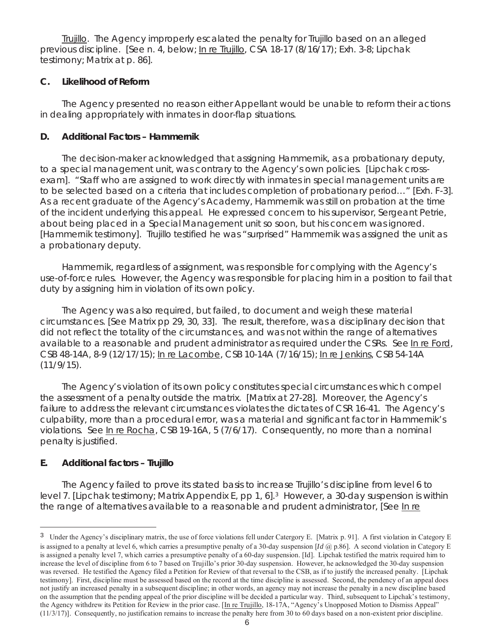Trujillo. The Agency improperly escalated the penalty for Trujillo based on an alleged previous discipline. [S*ee n*. 4, below; In re Trujillo, CSA 18-17 (8/16/17); Exh. 3-8; Lipchak testimony; Matrix at p. 86].

## **C. Likelihood of Reform**

The Agency presented no reason either Appellant would be unable to reform their actions in dealing appropriately with inmates in door-flap situations.

## **D. Additional Factors – Hammernik**

The decision-maker acknowledged that assigning Hammernik, as a probationary deputy, to a special management unit, was contrary to the Agency's own policies. [Lipchak crossexam]. "Staff who are assigned to work directly with inmates in special management units are to be selected based on a criteria that includes completion of probationary period…" [Exh. F-3]. As a recent graduate of the Agency's Academy, Hammernik was still on probation at the time of the incident underlying this appeal. He expressed concern to his supervisor, Sergeant Petrie, about being placed in a Special Management unit so soon, but his concern was ignored. [Hammernik testimony]. Trujillo testified he was "surprised" Hammernik was assigned the unit as a probationary deputy.

Hammernik, regardless of assignment, was responsible for complying with the Agency's use-of-force rules. However, the Agency was responsible for placing him in a position to fail that duty by assigning him in violation of its own policy.

The Agency was also required, but failed, to document and weigh these material circumstances. [See Matrix pp 29, 30, 33]. The result, therefore, was a disciplinary decision that did not reflect the totality of the circumstances, and was not within the range of alternatives available to a reasonable and prudent administrator as required under the CSRs. *See* In re Ford, CSB 48-14A, 8-9 (12/17/15); In re Lacombe, CSB 10-14A (7/16/15); In re Jenkins, CSB 54-14A  $(11/9/15)$ .

The Agency's violation of its own policy constitutes special circumstances which compel the assessment of a penalty outside the matrix. [Matrix at 27-28]. Moreover, the Agency's failure to address the relevant circumstances violates the dictates of CSR 16-41. The Agency's culpability, more than a procedural error, was a material and significant factor in Hammernik's violations. *See* In re Rocha, CSB 19-16A, 5 (7/6/17). Consequently, no more than a nominal penalty is justified.

# **E. Additional factors – Trujillo**

i<br>T

The Agency failed to prove its stated basis to increase Trujillo's discipline from level 6 to level 7. [Lipchak testimony; Matrix Appendix E, pp 1, 6].3 However, a 30-day suspension is within the range of alternatives available to a reasonable and prudent administrator, [*See* In re

<sup>&</sup>lt;sup>3</sup> Under the Agency's disciplinary matrix, the use of force violations fell under Catergory E. [Matrix p. 91]. A first violation in Category E is assigned to a penalty at level 6, which carries a presumptive penalty of a 30-day suspension [*Id* @ p.86]. A second violation in Category E is assigned a penalty level 7, which carries a presumptive penalty of a 60-day suspension. [Id]. Lipchak testified the matrix required him to increase the level of discipline from 6 to 7 based on Trujillo's prior 30-day suspension. However, he acknowledged the 30-day suspension was reversed. He testified the Agency filed a Petition for Review of that reversal to the CSB, as if to justify the increased penalty. [Lipchak testimony]. First, discipline must be assessed based on the record at the time discipline is assessed. Second, the pendency of an appeal does not justify an increased penalty in a subsequent discipline; in other words, an agency may not increase the penalty in a new discipline based on the assumption that the pending appeal of the prior discipline will be decided a particular way. Third, subsequent to Lipchak's testimony, the Agency withdrew its Petition for Review in the prior case. [In re Trujillo, 18-17A, "Agency's Unopposed Motion to Dismiss Appeal" (11/3/17)]. Consequently, no justification remains to increase the penalty here from 30 to 60 days based on a non-existent prior discipline.